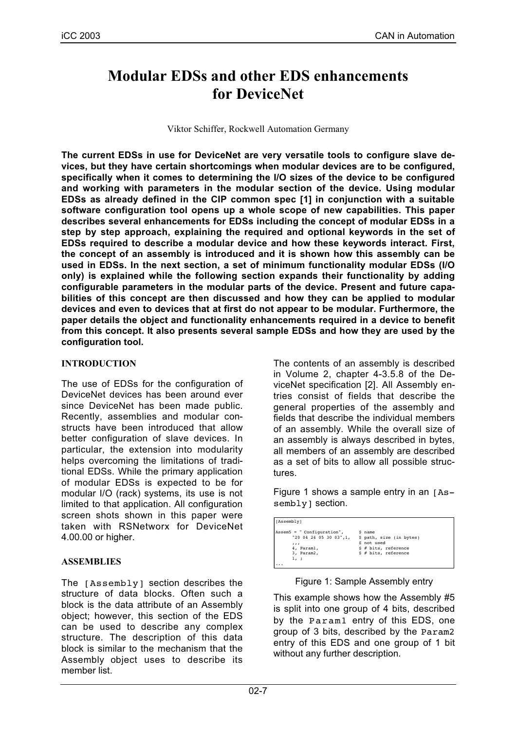# **Modular EDSs and other EDS enhancements for DeviceNet**

Viktor Schiffer, Rockwell Automation Germany

**The current EDSs in use for DeviceNet are very versatile tools to configure slave devices, but they have certain shortcomings when modular devices are to be configured, specifically when it comes to determining the I/O sizes of the device to be configured and working with parameters in the modular section of the device. Using modular EDSs as already defined in the CIP common spec [1] in conjunction with a suitable software configuration tool opens up a whole scope of new capabilities. This paper describes several enhancements for EDSs including the concept of modular EDSs in a step by step approach, explaining the required and optional keywords in the set of EDSs required to describe a modular device and how these keywords interact. First, the concept of an assembly is introduced and it is shown how this assembly can be used in EDSs. In the next section, a set of minimum functionality modular EDSs (I/O only) is explained while the following section expands their functionality by adding configurable parameters in the modular parts of the device. Present and future capabilities of this concept are then discussed and how they can be applied to modular devices and even to devices that at first do not appear to be modular. Furthermore, the paper details the object and functionality enhancements required in a device to benefit from this concept. It also presents several sample EDSs and how they are used by the configuration tool.**

# **INTRODUCTION**

The use of EDSs for the configuration of DeviceNet devices has been around ever since DeviceNet has been made public. Recently, assemblies and modular constructs have been introduced that allow better configuration of slave devices. In particular, the extension into modularity helps overcoming the limitations of traditional EDSs. While the primary application of modular EDSs is expected to be for modular I/O (rack) systems, its use is not limited to that application. All configuration screen shots shown in this paper were taken with RSNetworx for DeviceNet 4.00.00 or higher.

# **ASSEMBLIES**

The [Assembly] section describes the structure of data blocks. Often such a block is the data attribute of an Assembly object; however, this section of the EDS can be used to describe any complex structure. The description of this data block is similar to the mechanism that the Assembly object uses to describe its member list.

The contents of an assembly is described in Volume 2, chapter 4-3.5.8 of the DeviceNet specification [2]. All Assembly entries consist of fields that describe the general properties of the assembly and fields that describe the individual members of an assembly. While the overall size of an assembly is always described in bytes, all members of an assembly are described as a set of bits to allow all possible structures.

Figure 1 shows a sample entry in an [Assembly] section.

| [Assembly]                 |                          |
|----------------------------|--------------------------|
| Assem5 = " Configuration", | \$ name                  |
| "20 04 24 05 30 03",1,     | \$ path, size (in bytes) |
| 111                        | \$ not used              |
| 4, Paraml,                 | $$$ # bits, reference    |
| 3, Param2,                 | $$$ # bits, reference    |
| 1, ;                       |                          |

Figure 1: Sample Assembly entry

This example shows how the Assembly #5 is split into one group of 4 bits, described by the Param1 entry of this EDS, one group of 3 bits, described by the Param2 entry of this EDS and one group of 1 bit without any further description.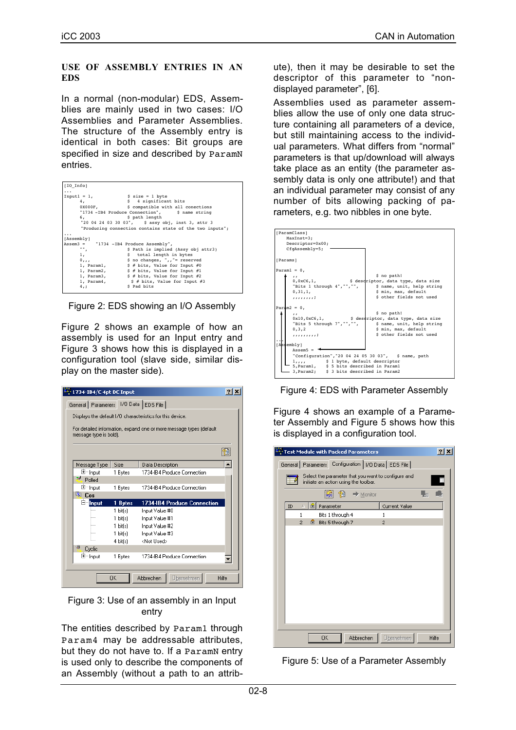#### **USE OF ASSEMBLY ENTRIES IN AN EDS**

In a normal (non-modular) EDS, Assemblies are mainly used in two cases: I/O Assemblies and Parameter Assemblies. The structure of the Assembly entry is identical in both cases: Bit groups are specified in size and described by ParamN entries.

| [IO Info]                              |                                                          |
|----------------------------------------|----------------------------------------------------------|
| .                                      |                                                          |
| $Input1 = 1,$                          | $$ size = 1 byte$                                        |
| 4.                                     | \$ 4 significant bits                                    |
|                                        | 0X000F, \$ compatible with all conections                |
|                                        | "1734 - IB4 Produce Connection", \$ name string          |
| 6,                                     | \$ path length                                           |
|                                        | "20 04 24 03 30 03", \$ assy obj, inst 3, attr 3         |
|                                        | "Producing connection contains state of the two inputs"; |
|                                        |                                                          |
| [Assembly]                             |                                                          |
| Assem3 = "1734 -IB4 Produce Assembly", |                                                          |
| "",                                    | \$ Path is implied (Assy obj attr3)                      |
| 1,                                     | \$ total length in bytes                                 |
| $0, \ldots$                            | \$ no changes, ",,"= reserved                            |
| 1, Param1,                             | $$$ # bits, Value for Input #0                           |
|                                        | 1, Param2, $\frac{1}{2}$ \$ # bits, Value for Input #1   |
|                                        | 1, Param3, $\frac{1}{2}$ \$ # bits, Value for Input #2   |
|                                        | 1, Param4, $\frac{1}{5}$ # bits, Value for Input #3      |
| $4,$ ;                                 | S Pad bits                                               |
|                                        |                                                          |

Figure 2: EDS showing an I/O Assembly

Figure 2 shows an example of how an assembly is used for an Input entry and Figure 3 shows how this is displayed in a configuration tool (slave side, similar display on the master side).

| 1734-IB4/C 4pt DC Input              |          |                                                                     | 21 |
|--------------------------------------|----------|---------------------------------------------------------------------|----|
| General Parameters 1/0 Data EDS File |          |                                                                     |    |
|                                      |          | Displays the default I/O characteristics for this device.           |    |
| message type is bold).               |          | For detailed information, expand one or more message types (default |    |
|                                      |          |                                                                     |    |
| Message Type                         | Size     | Data Description                                                    |    |
| 国·· Input                            | 1 Bytes  | 1734-IB4 Produce Connection                                         |    |
| w<br>Polled                          |          |                                                                     |    |
| 田 <sup></sup> Input                  | 1 Bytes  | 1734-IR4 Produce Connection                                         |    |
| <sup>图</sup> Cos                     |          |                                                                     |    |
| E Input                              | 1 Bytes  | 1734-IB4 Produce Connection                                         |    |
| 1.1.1.1                              | 1 bit(s) | Input Value #0                                                      |    |
| 1111                                 | 1 bit(s) | Input Value #1                                                      |    |
| 1.1.1.1                              | 1 bit[s] | Input Value #2                                                      |    |
| .                                    | 1 bit(s) | Input Value #3                                                      |    |
| i                                    | 4 bit(s) | <not used=""></not>                                                 |    |
| 尖<br>Cyclic                          |          |                                                                     |    |
| 田 <sup></sup> Input                  | 1 Bytes  | 1734-IB4 Produce Connection                                         |    |
|                                      |          |                                                                     |    |
|                                      | OΚ       | Abbrechen<br>Übernehmen<br>Hilfe                                    |    |



The entities described by Param1 through Param4 may be addressable attributes, but they do not have to. If a ParamN entry is used only to describe the components of an Assembly (without a path to an attribute), then it may be desirable to set the descriptor of this parameter to "nondisplayed parameter", [6].

Assemblies used as parameter assemblies allow the use of only one data structure containing all parameters of a device, but still maintaining access to the individual parameters. What differs from "normal" parameters is that up/download will always take place as an entity (the parameter assembly data is only one attribute!) and that an individual parameter may consist of any number of bits allowing packing of parameters, e.g. two nibbles in one byte.



Figure 4: EDS with Parameter Assembly

Figure 4 shows an example of a Parameter Assembly and Figure 5 shows how this is displayed in a configuration tool.

| Test Module with Packed Parameters                                                           | $\overline{?}$ |
|----------------------------------------------------------------------------------------------|----------------|
| General   Parameters   Configuration   I/O Data   EDS File                                   |                |
| Select the parameter that you want to configure and<br>initiate an action using the toolbar. |                |
| $\mathbb{S}$ .<br>12배<br>$\Rightarrow$ Monitor                                               |                |
| Parameter<br>ID<br>傦<br>Current Value<br>A                                                   |                |
| Bits 1 through 4<br>1<br>1                                                                   |                |
| $\overline{c}$<br>⋒<br>Bits 5 through 7<br>$\overline{c}$                                    |                |
|                                                                                              |                |
|                                                                                              |                |
|                                                                                              |                |
|                                                                                              |                |
|                                                                                              |                |
|                                                                                              |                |
|                                                                                              |                |
|                                                                                              |                |
|                                                                                              |                |
|                                                                                              |                |
|                                                                                              |                |
|                                                                                              |                |
| OK<br>Abbrechen<br>Übernehmen                                                                | Hilfe          |

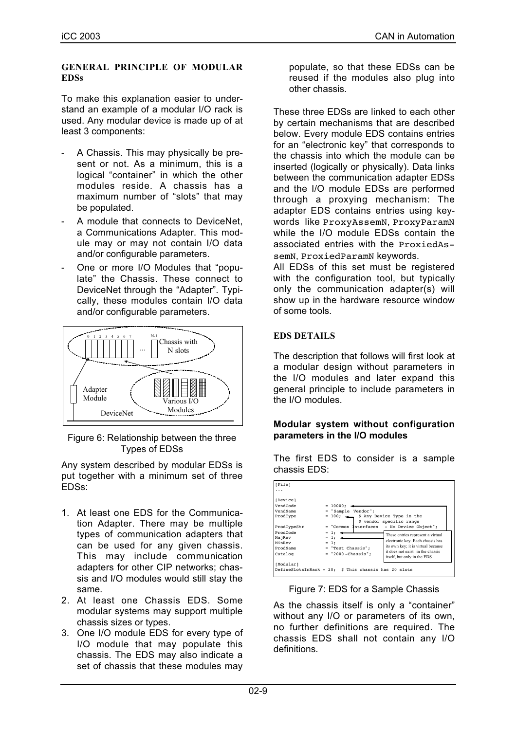### **GENERAL PRINCIPLE OF MODULAR EDSs**

To make this explanation easier to understand an example of a modular I/O rack is used. Any modular device is made up of at least 3 components:

- A Chassis. This may physically be present or not. As a minimum, this is a logical "container" in which the other modules reside. A chassis has a maximum number of "slots" that may be populated.
- A module that connects to DeviceNet, a Communications Adapter. This module may or may not contain I/O data and/or configurable parameters.
- One or more I/O Modules that "populate" the Chassis. These connect to DeviceNet through the "Adapter". Typically, these modules contain I/O data and/or configurable parameters.



Figure 6: Relationship between the three Types of EDSs

Any system described by modular EDSs is put together with a minimum set of three EDSs:

- 1. At least one EDS for the Communication Adapter. There may be multiple types of communication adapters that can be used for any given chassis. This may include communication adapters for other CIP networks; chassis and I/O modules would still stay the same.
- 2. At least one Chassis EDS. Some modular systems may support multiple chassis sizes or types.
- 3. One I/O module EDS for every type of I/O module that may populate this chassis. The EDS may also indicate a set of chassis that these modules may

populate, so that these EDSs can be reused if the modules also plug into other chassis.

These three EDSs are linked to each other by certain mechanisms that are described below. Every module EDS contains entries for an "electronic key" that corresponds to the chassis into which the module can be inserted (logically or physically). Data links between the communication adapter EDSs and the I/O module EDSs are performed through a proxying mechanism: The adapter EDS contains entries using keywords like ProxyAssemN, ProxyParamN while the I/O module EDSs contain the associated entries with the ProxiedAssemN, ProxiedParamN keywords.

All EDSs of this set must be registered with the configuration tool, but typically only the communication adapter(s) will show up in the hardware resource window of some tools.

# **EDS DETAILS**

The description that follows will first look at a modular design without parameters in the I/O modules and later expand this general principle to include parameters in the I/O modules.

# **Modular system without configuration parameters in the I/O modules**

The first EDS to consider is a sample chassis EDS:

| [File]      |                                                                |
|-------------|----------------------------------------------------------------|
| .           |                                                                |
| [Device]    |                                                                |
| VendCode    | $= 10000:$                                                     |
| VendName    | = "Sample Vendor";                                             |
| ProdType    | = 100; < \$ Any Device Type in the<br>\$ vendor specific range |
| ProdTypeStr | = "Common Interfaces - No Device Object";                      |
| ProdCode    | $= 1;$<br>These entries represent a virtual                    |
| MajRev      | $= 1; -$<br>electronic key. Each chassis has                   |
| MinRev      | $= 1:$<br>its own key; it is virtual because                   |
| ProdName    | $=$ "Test Chassis":<br>it does not exist in the chassis        |
| Catalog     | $=$ "2000-Chassis":<br>itself, but only in the EDS             |
| [Modular]   |                                                                |
|             | DefineSlotsInRack = $20;$ \$ This chassis has 20 slots         |

Figure 7: EDS for a Sample Chassis

As the chassis itself is only a "container" without any I/O or parameters of its own, no further definitions are required. The chassis EDS shall not contain any I/O definitions.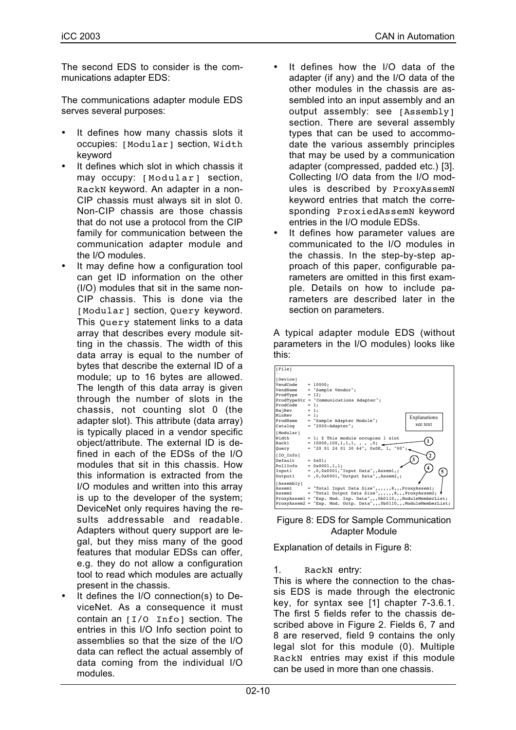The second EDS to consider is the communications adapter EDS:

The communications adapter module EDS serves several purposes:

- It defines how many chassis slots it occupies: [Modular] section, Width keyword
- It defines which slot in which chassis it may occupy: [Modular] section, RackN keyword. An adapter in a non-CIP chassis must always sit in slot 0. Non-CIP chassis are those chassis that do not use a protocol from the CIP family for communication between the communication adapter module and the I/O modules.
- It may define how a configuration tool can get ID information on the other (I/O) modules that sit in the same non-CIP chassis. This is done via the [Modular] section, Query keyword. This Query statement links to a data array that describes every module sitting in the chassis. The width of this data array is equal to the number of bytes that describe the external ID of a module; up to 16 bytes are allowed. The length of this data array is given through the number of slots in the chassis, not counting slot 0 (the adapter slot). This attribute (data array) is typically placed in a vendor specific object/attribute. The external ID is defined in each of the EDSs of the I/O modules that sit in this chassis. How this information is extracted from the I/O modules and written into this array is up to the developer of the system; DeviceNet only requires having the results addressable and readable. Adapters without query support are legal, but they miss many of the good features that modular EDSs can offer, e.g. they do not allow a configuration tool to read which modules are actually present in the chassis.
- It defines the I/O connection(s) to DeviceNet. As a consequence it must contain an [I/O Info] section. The entries in this I/O Info section point to assemblies so that the size of the I/O data can reflect the actual assembly of data coming from the individual I/O modules.
- It defines how the I/O data of the adapter (if any) and the I/O data of the other modules in the chassis are assembled into an input assembly and an output assembly: see [Assembly] section. There are several assembly types that can be used to accommodate the various assembly principles that may be used by a communication adapter (compressed, padded etc.) [3]. Collecting I/O data from the I/O modules is described by ProxyAssemN keyword entries that match the corresponding ProxiedAssemN keyword entries in the I/O module EDSs.
- It defines how parameter values are communicated to the I/O modules in the chassis. In the step-by-step approach of this paper, configurable parameters are omitted in this first example. Details on how to include parameters are described later in the section on parameters.

A typical adapter module EDS (without parameters in the I/O modules) looks like this:





Explanation of details in Figure 8:

# 1. RackN entry:

This is where the connection to the chassis EDS is made through the electronic key, for syntax see [1] chapter 7-3.6.1. The first 5 fields refer to the chassis described above in Figure 2. Fields 6, 7 and 8 are reserved, field 9 contains the only legal slot for this module (0). Multiple RackN entries may exist if this module can be used in more than one chassis.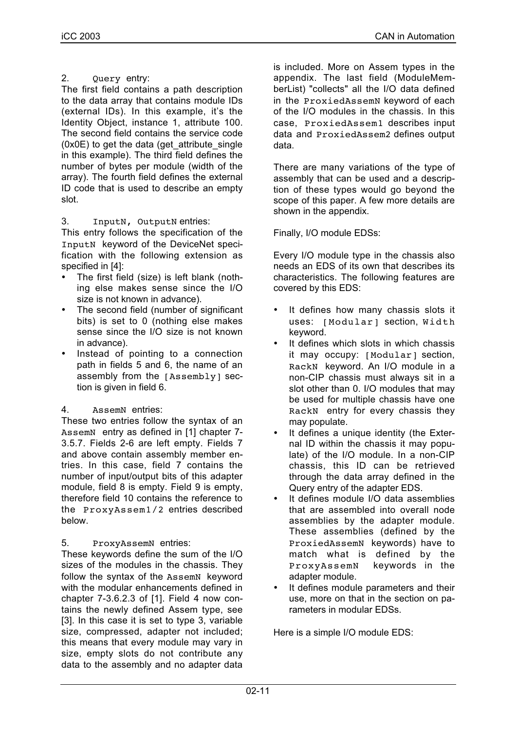# 2. Query entry:

The first field contains a path description to the data array that contains module IDs (external IDs). In this example, it's the Identity Object, instance 1, attribute 100. The second field contains the service code (0x0E) to get the data (get\_attribute\_single in this example). The third field defines the number of bytes per module (width of the array). The fourth field defines the external ID code that is used to describe an empty slot.

# 3. InputN, OutputN entries:

This entry follows the specification of the InputN keyword of the DeviceNet specification with the following extension as specified in [4]:

- The first field (size) is left blank (nothing else makes sense since the I/O size is not known in advance).
- The second field (number of significant bits) is set to 0 (nothing else makes sense since the I/O size is not known in advance).
- Instead of pointing to a connection path in fields 5 and 6, the name of an assembly from the [Assembly] section is given in field 6.
- 4. AssemN entries:

These two entries follow the syntax of an AssemN entry as defined in [1] chapter 7- 3.5.7. Fields 2-6 are left empty. Fields 7 and above contain assembly member entries. In this case, field 7 contains the number of input/output bits of this adapter module, field 8 is empty. Field 9 is empty, therefore field 10 contains the reference to the ProxyAssem1/2 entries described below.

5. ProxyAssemN entries:

These keywords define the sum of the I/O sizes of the modules in the chassis. They follow the syntax of the AssemN keyword with the modular enhancements defined in chapter 7-3.6.2.3 of [1]. Field 4 now contains the newly defined Assem type, see [3]. In this case it is set to type 3, variable size, compressed, adapter not included; this means that every module may vary in size, empty slots do not contribute any data to the assembly and no adapter data

is included. More on Assem types in the appendix. The last field (ModuleMemberList) "collects" all the I/O data defined in the ProxiedAssemN keyword of each of the I/O modules in the chassis. In this case, ProxiedAssem1 describes input data and ProxiedAssem2 defines output data.

There are many variations of the type of assembly that can be used and a description of these types would go beyond the scope of this paper. A few more details are shown in the appendix.

Finally, I/O module EDSs:

Every I/O module type in the chassis also needs an EDS of its own that describes its characteristics. The following features are covered by this EDS:

- It defines how many chassis slots it uses: [Modular] section, Width keyword.
- It defines which slots in which chassis it may occupy: [Modular] section, RackN keyword. An I/O module in a non-CIP chassis must always sit in a slot other than 0. I/O modules that may be used for multiple chassis have one RackN entry for every chassis they may populate.
- It defines a unique identity (the External ID within the chassis it may populate) of the I/O module. In a non-CIP chassis, this ID can be retrieved through the data array defined in the Query entry of the adapter EDS.
- It defines module I/O data assemblies that are assembled into overall node assemblies by the adapter module. These assemblies (defined by the ProxiedAssemN keywords) have to match what is defined by the ProxyAssemN keywords in the adapter module.
- It defines module parameters and their use, more on that in the section on parameters in modular EDSs.

Here is a simple I/O module EDS: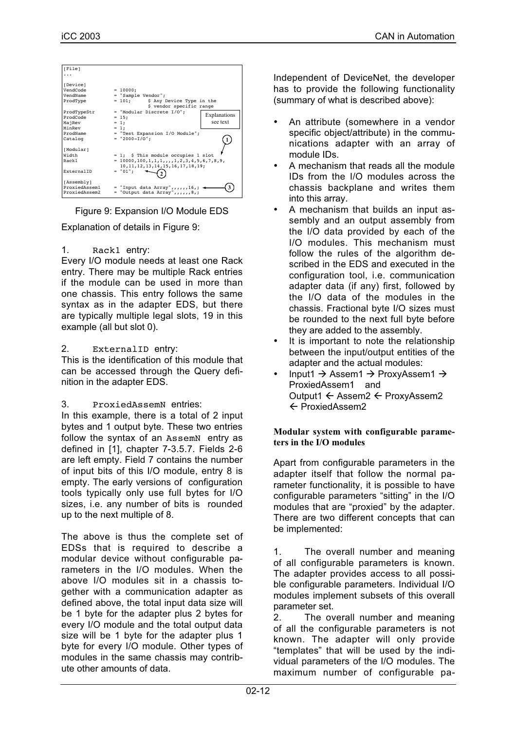

Figure 9: Expansion I/O Module EDS

Explanation of details in Figure 9:

1. Rack1 entry:

Every I/O module needs at least one Rack entry. There may be multiple Rack entries if the module can be used in more than one chassis. This entry follows the same syntax as in the adapter EDS, but there are typically multiple legal slots, 19 in this example (all but slot 0).

# 2. ExternalID entry:

This is the identification of this module that can be accessed through the Query definition in the adapter EDS.

3. ProxiedAssemN entries:

In this example, there is a total of 2 input bytes and 1 output byte. These two entries follow the syntax of an AssemN entry as defined in [1], chapter 7-3.5.7. Fields 2-6 are left empty. Field 7 contains the number of input bits of this I/O module, entry 8 is empty. The early versions of configuration tools typically only use full bytes for I/O sizes, i.e. any number of bits is rounded up to the next multiple of 8.

The above is thus the complete set of EDSs that is required to describe a modular device without configurable parameters in the I/O modules. When the above I/O modules sit in a chassis together with a communication adapter as defined above, the total input data size will be 1 byte for the adapter plus 2 bytes for every I/O module and the total output data size will be 1 byte for the adapter plus 1 byte for every I/O module. Other types of modules in the same chassis may contribute other amounts of data.

Independent of DeviceNet, the developer has to provide the following functionality (summary of what is described above):

- An attribute (somewhere in a vendor specific object/attribute) in the communications adapter with an array of module IDs.
- A mechanism that reads all the module IDs from the I/O modules across the chassis backplane and writes them into this array.
- A mechanism that builds an input assembly and an output assembly from the I/O data provided by each of the I/O modules. This mechanism must follow the rules of the algorithm described in the EDS and executed in the configuration tool, i.e. communication adapter data (if any) first, followed by the I/O data of the modules in the chassis. Fractional byte I/O sizes must be rounded to the next full byte before they are added to the assembly.
- It is important to note the relationship between the input/output entities of the adapter and the actual modules:
- Input1  $\rightarrow$  Assem1  $\rightarrow$  ProxyAssem1  $\rightarrow$ ProxiedAssem1 and Output1 ← Assem2 ← ProxyAssem2 ← ProxiedAssem2

# **Modular system with configurable parameters in the I/O modules**

Apart from configurable parameters in the adapter itself that follow the normal parameter functionality, it is possible to have configurable parameters "sitting" in the I/O modules that are "proxied" by the adapter. There are two different concepts that can be implemented:

1. The overall number and meaning of all configurable parameters is known. The adapter provides access to all possible configurable parameters. Individual I/O modules implement subsets of this overall parameter set.

2. The overall number and meaning of all the configurable parameters is not known. The adapter will only provide "templates" that will be used by the individual parameters of the I/O modules. The maximum number of configurable pa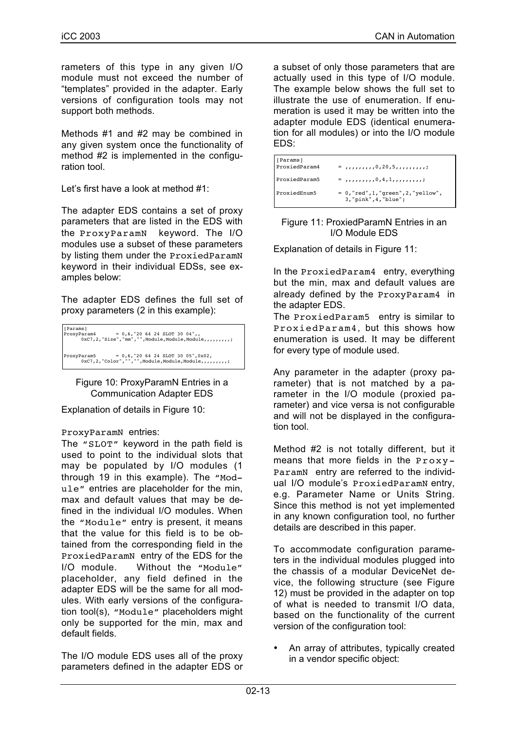rameters of this type in any given I/O module must not exceed the number of "templates" provided in the adapter. Early versions of configuration tools may not support both methods.

Methods #1 and #2 may be combined in any given system once the functionality of method #2 is implemented in the configuration tool.

Let's first have a look at method #1:

The adapter EDS contains a set of proxy parameters that are listed in the EDS with the ProxyParamN keyword. The I/O modules use a subset of these parameters by listing them under the ProxiedParamN keyword in their individual EDSs, see examples below:

The adapter EDS defines the full set of proxy parameters (2 in this example):



Figure 10: ProxyParamN Entries in a Communication Adapter EDS

Explanation of details in Figure 10:

# ProxyParamN entries:

The "SLOT" keyword in the path field is used to point to the individual slots that may be populated by I/O modules (1 through 19 in this example). The "Module" entries are placeholder for the min, max and default values that may be defined in the individual I/O modules. When the "Module" entry is present, it means that the value for this field is to be obtained from the corresponding field in the ProxiedParamN entry of the EDS for the I/O module. Without the "Module" placeholder, any field defined in the adapter EDS will be the same for all modules. With early versions of the configuration tool(s), "Module" placeholders might only be supported for the min, max and default fields.

The I/O module EDS uses all of the proxy parameters defined in the adapter EDS or

a subset of only those parameters that are actually used in this type of I/O module. The example below shows the full set to illustrate the use of enumeration. If enumeration is used it may be written into the adapter module EDS (identical enumeration for all modules) or into the I/O module EDS:

| [Params]<br>ProxiedParam4 | $=$ , , , , , , , , , 0, 20, 5, , , , , , , , , ;                |
|---------------------------|------------------------------------------------------------------|
| ProxiedParam5             | $=$ ,,,,,,,,,,0,4,1,,,,,,,,,;                                    |
| ProxiedEnum5              | $= 0$ , "red", 1, "green", 2, "yellow",<br>3, "pink", 4, "blue"; |

#### Figure 11: ProxiedParamN Entries in an I/O Module EDS

Explanation of details in Figure 11:

In the ProxiedParam4 entry, everything but the min, max and default values are already defined by the ProxyParam4 in the adapter EDS.

The ProxiedParam5 entry is similar to ProxiedParam4, but this shows how enumeration is used. It may be different for every type of module used.

Any parameter in the adapter (proxy parameter) that is not matched by a parameter in the I/O module (proxied parameter) and vice versa is not configurable and will not be displayed in the configuration tool.

Method #2 is not totally different, but it means that more fields in the Proxy-ParamN entry are referred to the individual I/O module's ProxiedParamN entry. e.g. Parameter Name or Units String. Since this method is not yet implemented in any known configuration tool, no further details are described in this paper.

To accommodate configuration parameters in the individual modules plugged into the chassis of a modular DeviceNet device, the following structure (see Figure 12) must be provided in the adapter on top of what is needed to transmit I/O data, based on the functionality of the current version of the configuration tool:

• An array of attributes, typically created in a vendor specific object: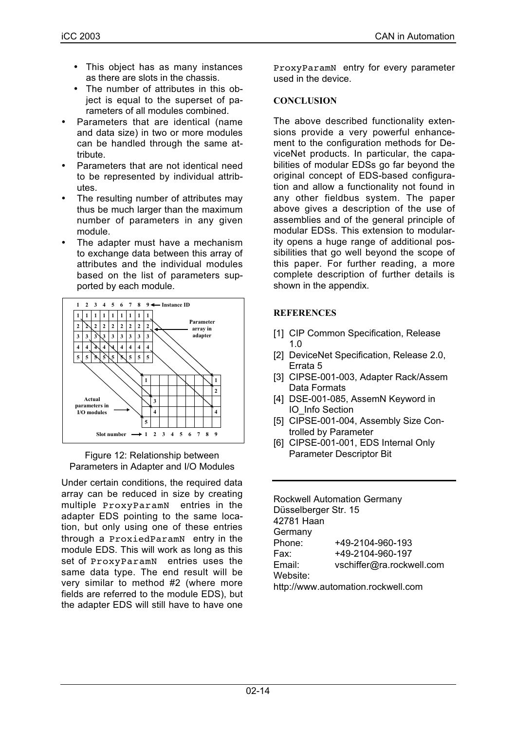- This object has as many instances as there are slots in the chassis.
- The number of attributes in this object is equal to the superset of parameters of all modules combined.
- Parameters that are identical (name and data size) in two or more modules can be handled through the same attribute.
- Parameters that are not identical need to be represented by individual attributes.
- The resulting number of attributes may thus be much larger than the maximum number of parameters in any given module.
- The adapter must have a mechanism to exchange data between this array of attributes and the individual modules based on the list of parameters supported by each module.



Figure 12: Relationship between Parameters in Adapter and I/O Modules

Under certain conditions, the required data array can be reduced in size by creating multiple ProxyParamN entries in the adapter EDS pointing to the same location, but only using one of these entries through a ProxiedParamN entry in the module EDS. This will work as long as this set of ProxyParamN entries uses the same data type. The end result will be very similar to method #2 (where more fields are referred to the module EDS), but the adapter EDS will still have to have one

ProxyParamN entry for every parameter used in the device.

# **CONCLUSION**

The above described functionality extensions provide a very powerful enhancement to the configuration methods for DeviceNet products. In particular, the capabilities of modular EDSs go far beyond the original concept of EDS-based configuration and allow a functionality not found in any other fieldbus system. The paper above gives a description of the use of assemblies and of the general principle of modular EDSs. This extension to modularity opens a huge range of additional possibilities that go well beyond the scope of this paper. For further reading, a more complete description of further details is shown in the appendix.

# **REFERENCES**

- [1] CIP Common Specification, Release 1.0
- [2] DeviceNet Specification, Release 2.0, Errata 5
- [3] CIPSE-001-003, Adapter Rack/Assem Data Formats
- [4] DSE-001-085, AssemN Keyword in IO\_Info Section
- [5] CIPSE-001-004, Assembly Size Controlled by Parameter
- [6] CIPSE-001-001, EDS Internal Only Parameter Descriptor Bit

Rockwell Automation Germany Düsselberger Str. 15 42781 Haan **Germany** Phone: +49-2104-960-193 Fax: +49-2104-960-197 Email: vschiffer@ra.rockwell.com Website: http://www.automation.rockwell.com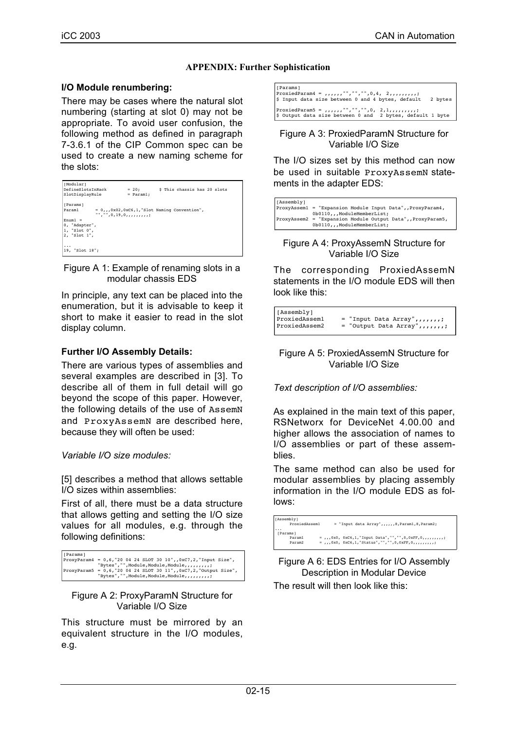# **APPENDIX: Further Sophistication**

#### **I/O Module renumbering:**

There may be cases where the natural slot numbering (starting at slot 0) may not be appropriate. To avoid user confusion, the following method as defined in paragraph 7-3.6.1 of the CIP Common spec can be used to create a new naming scheme for the slots:

| [Modular]                  |                                                                              |                              |  |
|----------------------------|------------------------------------------------------------------------------|------------------------------|--|
| DefineSlotsInRack          | $= 20:$                                                                      | \$ This chassis has 20 slots |  |
| SlotDisplayRule            | $=$ Paraml:                                                                  |                              |  |
| [Params]                   |                                                                              |                              |  |
| Paraml                     | $= 0, 0, 0x02, 0xC6, 1,$ Slot Naming Convention",<br>$" " " " " " 0, 19, 0,$ |                              |  |
| $Fnum1 =$                  |                                                                              |                              |  |
| 0, "Adapter",              |                                                                              |                              |  |
| 1, "Slot 0",               |                                                                              |                              |  |
| 2, "Slot 1",               |                                                                              |                              |  |
|                            |                                                                              |                              |  |
| $\cdots$<br>19. "Slot 18": |                                                                              |                              |  |
|                            |                                                                              |                              |  |

Figure A 1: Example of renaming slots in a modular chassis EDS

In principle, any text can be placed into the enumeration, but it is advisable to keep it short to make it easier to read in the slot display column.

# **Further I/O Assembly Details:**

There are various types of assemblies and several examples are described in [3]. To describe all of them in full detail will go beyond the scope of this paper. However, the following details of the use of AssemN and ProxyAssemN are described here, because they will often be used:

# *Variable I/O size modules:*

[5] describes a method that allows settable I/O sizes within assemblies:

First of all, there must be a data structure that allows getting and setting the I/O size values for all modules, e.g. through the following definitions:

```
[Params]<br>ProxyParam4
                           = 0,6,'200424 SLOT 30 10",,0xC7,2,"Input Size",<br>"Bytes","",Module,Module,Module,,,,,,,,,;;
"Bytes","",Module,Module,Module,,,,,,,,,,;"<br>ProxyParam5 = 0,6,"20 04 24 SLOT 30 11",,0xC7,2,"Output Size",<br>"Bytes","",Module,Module,Module,,,,,,,,,,,;
```
#### Figure A 2: ProxyParamN Structure for Variable I/O Size

This structure must be mirrored by an equivalent structure in the I/O modules, e.g.

| [Params]<br>$\frac{1}{2}$ Input data size between 0 and 4 bytes, default 2 bytes |
|----------------------------------------------------------------------------------|
| \$ Output data size between 0 and 2 bytes, default 1 byte                        |

Figure A 3: ProxiedParamN Structure for Variable I/O Size

The I/O sizes set by this method can now be used in suitable ProxyAssemN statements in the adapter EDS:

| [Assembly] |                                                            |
|------------|------------------------------------------------------------|
|            | ProxyAsseml = "Expansion Module Input Data", ProxyParam4,  |
|            | 0b0110,,ModuleMemberList;                                  |
|            | ProxyAssem2 = "Expansion Module Output Data", ProxyParam5, |
|            | 0b0110,,ModuleMemberList;                                  |
|            |                                                            |

#### Figure A 4: ProxyAssemN Structure for Variable I/O Size

The corresponding ProxiedAssemN statements in the I/O module EDS will then look like this:

| [Assembly]    |                                      |
|---------------|--------------------------------------|
| ProxiedAssem1 | $=$ "Input Data Array", , , , , , ;  |
| ProxiedAssem2 | $=$ "Output Data Array", , , , , , ; |

#### Figure A 5: ProxiedAssemN Structure for Variable I/O Size

*Text description of I/O assemblies:*

As explained in the main text of this paper, RSNetworx for DeviceNet 4.00.00 and higher allows the association of names to I/O assemblies or part of these assemblies.

The same method can also be used for modular assemblies by placing assembly information in the I/O module EDS as follows:

| [Assembly]<br>ProxiedAssem1 | = "Input data Array",,,,,,8, Param1,8, Param2;                    |
|-----------------------------|-------------------------------------------------------------------|
| $\cdots$<br>[Params]        |                                                                   |
| Param1                      | = 0x0. 0xC6,1, "Input Data", "", "", 0,0xFF, 0, , , , , , , , ; ; |
| Param2                      | $=$ 0x0, 0xC6,1,"Status","",",0,0xFF,0,,,,,,,,;                   |
|                             |                                                                   |

Figure A 6: EDS Entries for I/O Assembly Description in Modular Device

The result will then look like this: